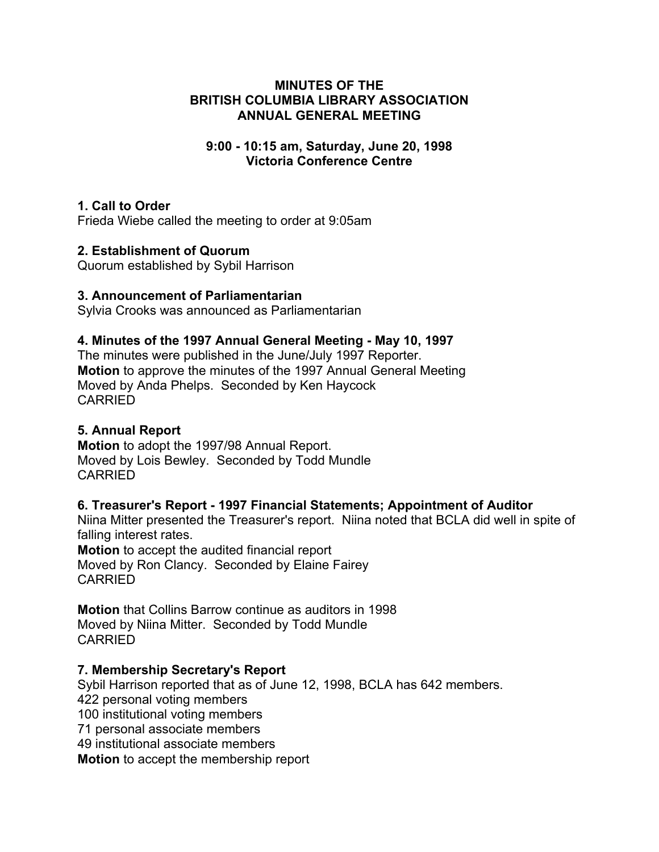### **MINUTES OF THE BRITISH COLUMBIA LIBRARY ASSOCIATION ANNUAL GENERAL MEETING**

### **9:00 - 10:15 am, Saturday, June 20, 1998 Victoria Conference Centre**

### **1. Call to Order**

Frieda Wiebe called the meeting to order at 9:05am

### **2. Establishment of Quorum**

Quorum established by Sybil Harrison

### **3. Announcement of Parliamentarian**

Sylvia Crooks was announced as Parliamentarian

### **4. Minutes of the 1997 Annual General Meeting - May 10, 1997**

The minutes were published in the June/July 1997 Reporter. **Motion** to approve the minutes of the 1997 Annual General Meeting Moved by Anda Phelps. Seconded by Ken Haycock CARRIED

# **5. Annual Report**

**Motion** to adopt the 1997/98 Annual Report. Moved by Lois Bewley. Seconded by Todd Mundle CARRIED

# **6. Treasurer's Report - 1997 Financial Statements; Appointment of Auditor**

Niina Mitter presented the Treasurer's report. Niina noted that BCLA did well in spite of falling interest rates.

**Motion** to accept the audited financial report Moved by Ron Clancy. Seconded by Elaine Fairey CARRIED

**Motion** that Collins Barrow continue as auditors in 1998 Moved by Niina Mitter. Seconded by Todd Mundle CARRIED

### **7. Membership Secretary's Report**

Sybil Harrison reported that as of June 12, 1998, BCLA has 642 members. 422 personal voting members 100 institutional voting members 71 personal associate members 49 institutional associate members **Motion** to accept the membership report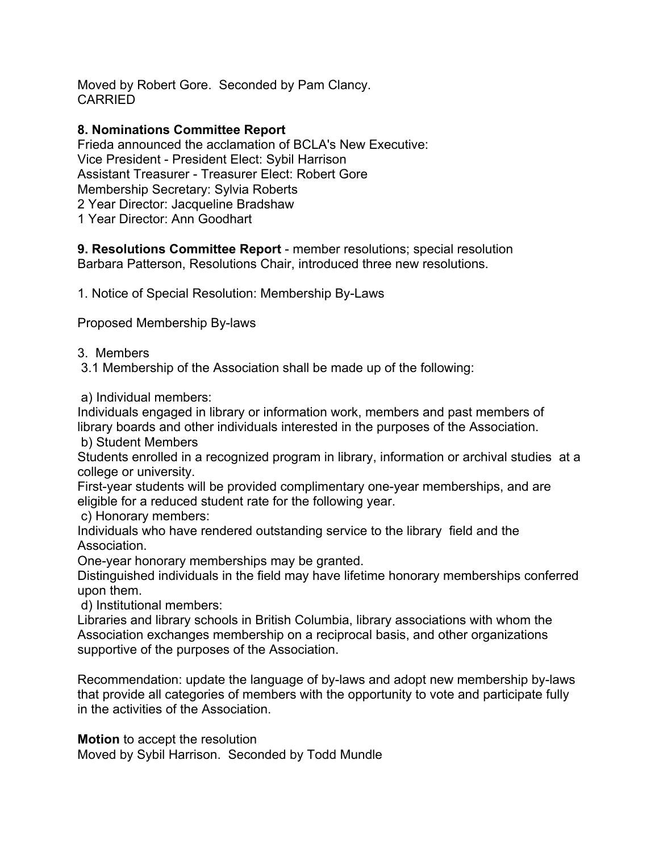Moved by Robert Gore. Seconded by Pam Clancy. CARRIED

# **8. Nominations Committee Report**

Frieda announced the acclamation of BCLA's New Executive: Vice President - President Elect: Sybil Harrison Assistant Treasurer - Treasurer Elect: Robert Gore Membership Secretary: Sylvia Roberts 2 Year Director: Jacqueline Bradshaw 1 Year Director: Ann Goodhart

**9. Resolutions Committee Report** - member resolutions; special resolution Barbara Patterson, Resolutions Chair, introduced three new resolutions.

1. Notice of Special Resolution: Membership By-Laws

Proposed Membership By-laws

3. Members

3.1 Membership of the Association shall be made up of the following:

a) Individual members:

Individuals engaged in library or information work, members and past members of library boards and other individuals interested in the purposes of the Association.

b) Student Members

Students enrolled in a recognized program in library, information or archival studies at a college or university.

First-year students will be provided complimentary one-year memberships, and are eligible for a reduced student rate for the following year.

c) Honorary members:

Individuals who have rendered outstanding service to the library field and the Association.

One-year honorary memberships may be granted.

Distinguished individuals in the field may have lifetime honorary memberships conferred upon them.

d) Institutional members:

Libraries and library schools in British Columbia, library associations with whom the Association exchanges membership on a reciprocal basis, and other organizations supportive of the purposes of the Association.

Recommendation: update the language of by-laws and adopt new membership by-laws that provide all categories of members with the opportunity to vote and participate fully in the activities of the Association.

**Motion** to accept the resolution

Moved by Sybil Harrison. Seconded by Todd Mundle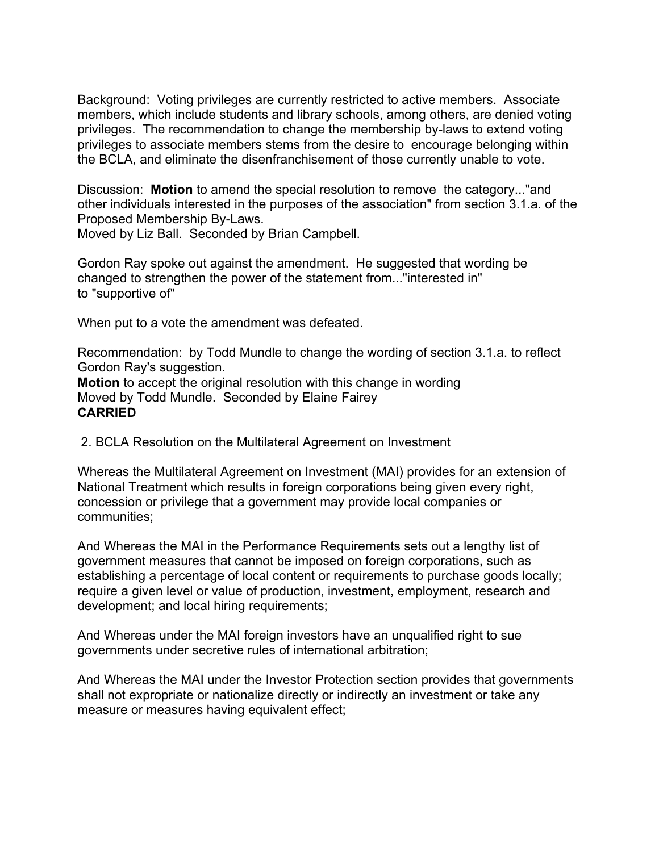Background: Voting privileges are currently restricted to active members. Associate members, which include students and library schools, among others, are denied voting privileges. The recommendation to change the membership by-laws to extend voting privileges to associate members stems from the desire to encourage belonging within the BCLA, and eliminate the disenfranchisement of those currently unable to vote.

Discussion: **Motion** to amend the special resolution to remove the category..."and other individuals interested in the purposes of the association" from section 3.1.a. of the Proposed Membership By-Laws.

Moved by Liz Ball. Seconded by Brian Campbell.

Gordon Ray spoke out against the amendment. He suggested that wording be changed to strengthen the power of the statement from..."interested in" to "supportive of"

When put to a vote the amendment was defeated.

Recommendation: by Todd Mundle to change the wording of section 3.1.a. to reflect Gordon Ray's suggestion. **Motion** to accept the original resolution with this change in wording Moved by Todd Mundle. Seconded by Elaine Fairey

### **CARRIED**

2. BCLA Resolution on the Multilateral Agreement on Investment

Whereas the Multilateral Agreement on Investment (MAI) provides for an extension of National Treatment which results in foreign corporations being given every right, concession or privilege that a government may provide local companies or communities;

And Whereas the MAI in the Performance Requirements sets out a lengthy list of government measures that cannot be imposed on foreign corporations, such as establishing a percentage of local content or requirements to purchase goods locally; require a given level or value of production, investment, employment, research and development; and local hiring requirements;

And Whereas under the MAI foreign investors have an unqualified right to sue governments under secretive rules of international arbitration;

And Whereas the MAI under the Investor Protection section provides that governments shall not expropriate or nationalize directly or indirectly an investment or take any measure or measures having equivalent effect;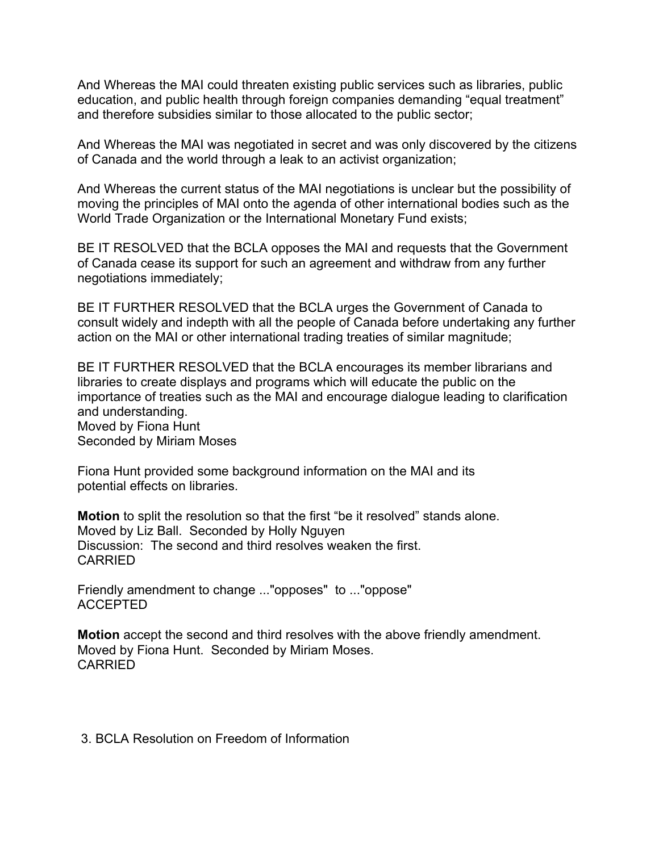And Whereas the MAI could threaten existing public services such as libraries, public education, and public health through foreign companies demanding "equal treatment" and therefore subsidies similar to those allocated to the public sector;

And Whereas the MAI was negotiated in secret and was only discovered by the citizens of Canada and the world through a leak to an activist organization;

And Whereas the current status of the MAI negotiations is unclear but the possibility of moving the principles of MAI onto the agenda of other international bodies such as the World Trade Organization or the International Monetary Fund exists;

BE IT RESOLVED that the BCLA opposes the MAI and requests that the Government of Canada cease its support for such an agreement and withdraw from any further negotiations immediately;

BE IT FURTHER RESOLVED that the BCLA urges the Government of Canada to consult widely and indepth with all the people of Canada before undertaking any further action on the MAI or other international trading treaties of similar magnitude;

BE IT FURTHER RESOLVED that the BCLA encourages its member librarians and libraries to create displays and programs which will educate the public on the importance of treaties such as the MAI and encourage dialogue leading to clarification and understanding. Moved by Fiona Hunt Seconded by Miriam Moses

Fiona Hunt provided some background information on the MAI and its potential effects on libraries.

**Motion** to split the resolution so that the first "be it resolved" stands alone. Moved by Liz Ball. Seconded by Holly Nguyen Discussion: The second and third resolves weaken the first. CARRIED

Friendly amendment to change ..."opposes" to ..."oppose" ACCEPTED

**Motion** accept the second and third resolves with the above friendly amendment. Moved by Fiona Hunt. Seconded by Miriam Moses. CARRIED

3. BCLA Resolution on Freedom of Information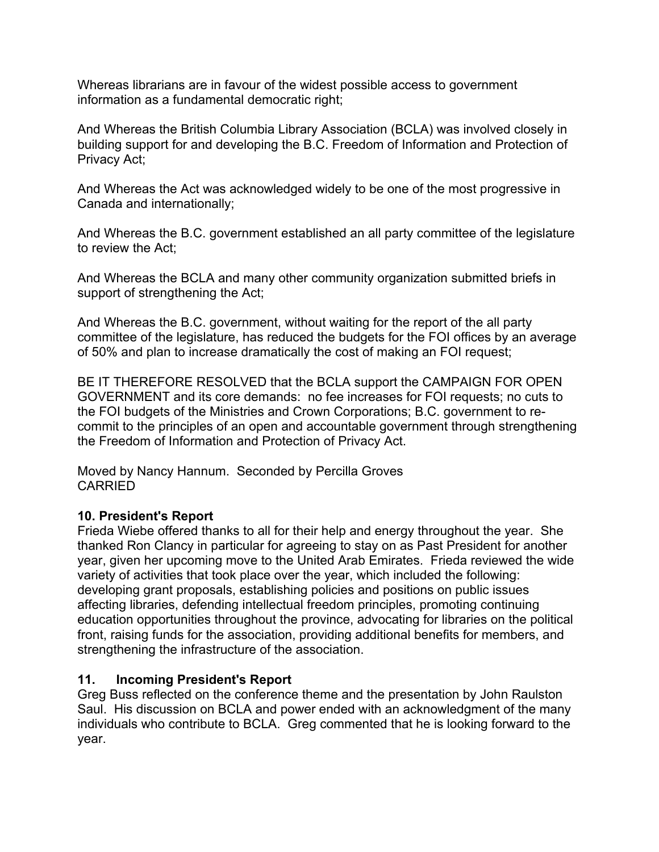Whereas librarians are in favour of the widest possible access to government information as a fundamental democratic right;

And Whereas the British Columbia Library Association (BCLA) was involved closely in building support for and developing the B.C. Freedom of Information and Protection of Privacy Act;

And Whereas the Act was acknowledged widely to be one of the most progressive in Canada and internationally;

And Whereas the B.C. government established an all party committee of the legislature to review the Act;

And Whereas the BCLA and many other community organization submitted briefs in support of strengthening the Act;

And Whereas the B.C. government, without waiting for the report of the all party committee of the legislature, has reduced the budgets for the FOI offices by an average of 50% and plan to increase dramatically the cost of making an FOI request;

BE IT THEREFORE RESOLVED that the BCLA support the CAMPAIGN FOR OPEN GOVERNMENT and its core demands: no fee increases for FOI requests; no cuts to the FOI budgets of the Ministries and Crown Corporations; B.C. government to recommit to the principles of an open and accountable government through strengthening the Freedom of Information and Protection of Privacy Act.

Moved by Nancy Hannum. Seconded by Percilla Groves CARRIED

### **10. President's Report**

Frieda Wiebe offered thanks to all for their help and energy throughout the year. She thanked Ron Clancy in particular for agreeing to stay on as Past President for another year, given her upcoming move to the United Arab Emirates. Frieda reviewed the wide variety of activities that took place over the year, which included the following: developing grant proposals, establishing policies and positions on public issues affecting libraries, defending intellectual freedom principles, promoting continuing education opportunities throughout the province, advocating for libraries on the political front, raising funds for the association, providing additional benefits for members, and strengthening the infrastructure of the association.

# **11. Incoming President's Report**

Greg Buss reflected on the conference theme and the presentation by John Raulston Saul. His discussion on BCLA and power ended with an acknowledgment of the many individuals who contribute to BCLA. Greg commented that he is looking forward to the year.